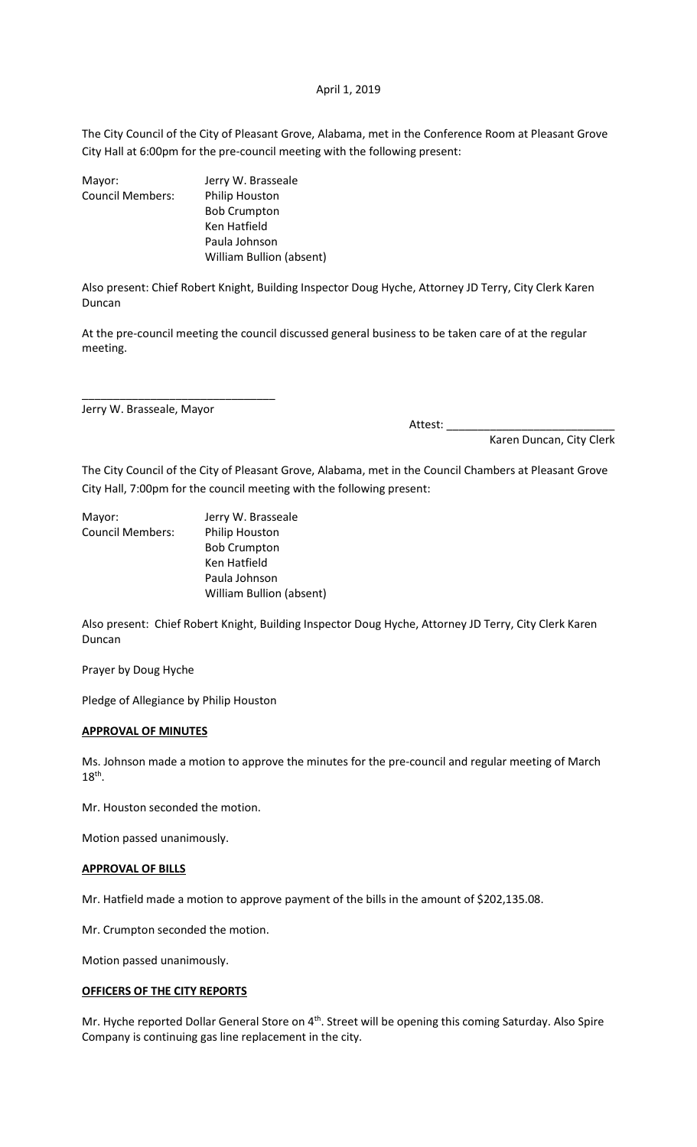#### April 1, 2019

The City Council of the City of Pleasant Grove, Alabama, met in the Conference Room at Pleasant Grove City Hall at 6:00pm for the pre-council meeting with the following present:

| Mayor:                  | Jerry W. Brasseale              |
|-------------------------|---------------------------------|
| <b>Council Members:</b> | <b>Philip Houston</b>           |
|                         | <b>Bob Crumpton</b>             |
|                         | Ken Hatfield                    |
|                         | Paula Johnson                   |
|                         | <b>William Bullion (absent)</b> |
|                         |                                 |

Also present: Chief Robert Knight, Building Inspector Doug Hyche, Attorney JD Terry, City Clerk Karen Duncan

At the pre-council meeting the council discussed general business to be taken care of at the regular meeting.

Jerry W. Brasseale, Mayor

\_\_\_\_\_\_\_\_\_\_\_\_\_\_\_\_\_\_\_\_\_\_\_\_\_\_\_\_\_\_\_

Attest: \_\_\_\_\_\_\_\_\_\_\_\_\_\_\_\_\_\_\_\_\_\_\_\_\_\_\_

Karen Duncan, City Clerk

The City Council of the City of Pleasant Grove, Alabama, met in the Council Chambers at Pleasant Grove City Hall, 7:00pm for the council meeting with the following present:

| Mayor:                  | Jerry W. Brasseale       |
|-------------------------|--------------------------|
| <b>Council Members:</b> | Philip Houston           |
|                         | <b>Bob Crumpton</b>      |
|                         | Ken Hatfield             |
|                         | Paula Johnson            |
|                         | William Bullion (absent) |
|                         |                          |

Also present: Chief Robert Knight, Building Inspector Doug Hyche, Attorney JD Terry, City Clerk Karen Duncan

Prayer by Doug Hyche

Pledge of Allegiance by Philip Houston

#### **APPROVAL OF MINUTES**

Ms. Johnson made a motion to approve the minutes for the pre-council and regular meeting of March  $18<sup>th</sup>$ .

Mr. Houston seconded the motion.

Motion passed unanimously.

# **APPROVAL OF BILLS**

Mr. Hatfield made a motion to approve payment of the bills in the amount of \$202,135.08.

Mr. Crumpton seconded the motion.

Motion passed unanimously.

# **OFFICERS OF THE CITY REPORTS**

Mr. Hyche reported Dollar General Store on 4<sup>th</sup>. Street will be opening this coming Saturday. Also Spire Company is continuing gas line replacement in the city.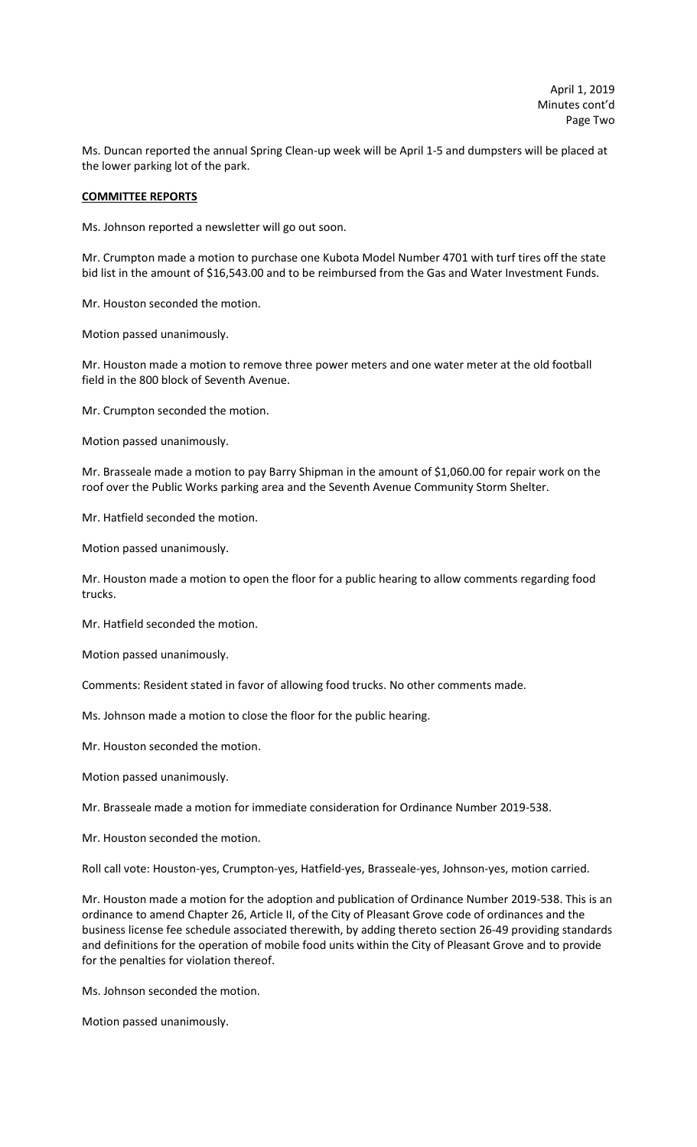Ms. Duncan reported the annual Spring Clean-up week will be April 1-5 and dumpsters will be placed at the lower parking lot of the park.

#### **COMMITTEE REPORTS**

Ms. Johnson reported a newsletter will go out soon.

Mr. Crumpton made a motion to purchase one Kubota Model Number 4701 with turf tires off the state bid list in the amount of \$16,543.00 and to be reimbursed from the Gas and Water Investment Funds.

Mr. Houston seconded the motion.

Motion passed unanimously.

Mr. Houston made a motion to remove three power meters and one water meter at the old football field in the 800 block of Seventh Avenue.

Mr. Crumpton seconded the motion.

Motion passed unanimously.

Mr. Brasseale made a motion to pay Barry Shipman in the amount of \$1,060.00 for repair work on the roof over the Public Works parking area and the Seventh Avenue Community Storm Shelter.

Mr. Hatfield seconded the motion.

Motion passed unanimously.

Mr. Houston made a motion to open the floor for a public hearing to allow comments regarding food trucks.

Mr. Hatfield seconded the motion.

Motion passed unanimously.

Comments: Resident stated in favor of allowing food trucks. No other comments made.

Ms. Johnson made a motion to close the floor for the public hearing.

Mr. Houston seconded the motion.

Motion passed unanimously.

Mr. Brasseale made a motion for immediate consideration for Ordinance Number 2019-538.

Mr. Houston seconded the motion.

Roll call vote: Houston-yes, Crumpton-yes, Hatfield-yes, Brasseale-yes, Johnson-yes, motion carried.

Mr. Houston made a motion for the adoption and publication of Ordinance Number 2019-538. This is an ordinance to amend Chapter 26, Article II, of the City of Pleasant Grove code of ordinances and the business license fee schedule associated therewith, by adding thereto section 26-49 providing standards and definitions for the operation of mobile food units within the City of Pleasant Grove and to provide for the penalties for violation thereof.

Ms. Johnson seconded the motion.

Motion passed unanimously.